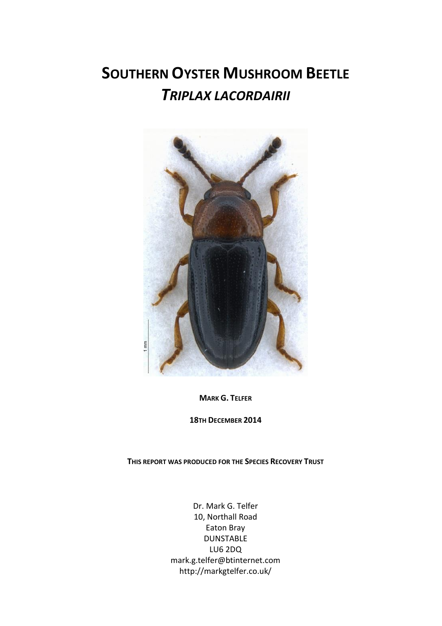# **SOUTHERN OYSTER MUSHROOM BEETLE**  *TRIPLAX LACORDAIRII*



**MARK G. TELFER**

**18TH DECEMBER 2014**

**THIS REPORT WAS PRODUCED FOR THE SPECIES RECOVERY TRUST**

Dr. Mark G. Telfer 10, Northall Road Eaton Bray DUNSTABLE LU6 2DQ mark.g.telfer@btinternet.com http://markgtelfer.co.uk/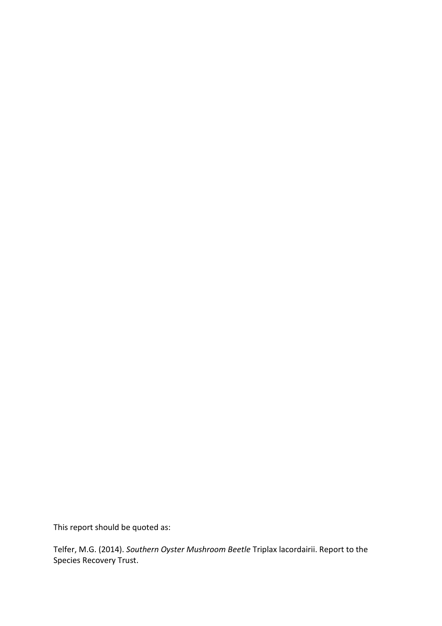This report should be quoted as:

Telfer, M.G. (2014). *Southern Oyster Mushroom Beetle* Triplax lacordairii. Report to the Species Recovery Trust.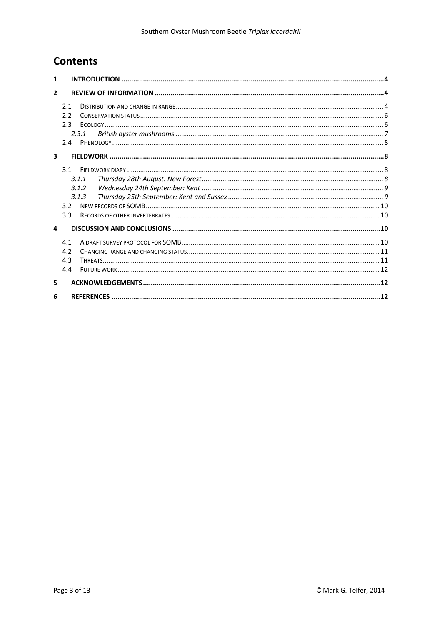# **Contents**

| 1                       |     |       |  |
|-------------------------|-----|-------|--|
| $\mathcal{P}$           |     |       |  |
|                         | 2.1 |       |  |
|                         | 2.2 |       |  |
|                         | 2.3 |       |  |
|                         |     | 2.3.1 |  |
|                         | 2.4 |       |  |
| $\overline{\mathbf{3}}$ |     |       |  |
|                         | 3.1 |       |  |
|                         |     | 3.1.1 |  |
|                         |     | 3.1.2 |  |
|                         |     | 3.1.3 |  |
|                         | 3.2 |       |  |
|                         | 3.3 |       |  |
| 4                       |     |       |  |
|                         | 4.1 |       |  |
|                         | 4.2 |       |  |
|                         | 4.3 |       |  |
|                         | 4.4 |       |  |
| 5                       |     |       |  |
| 6                       |     |       |  |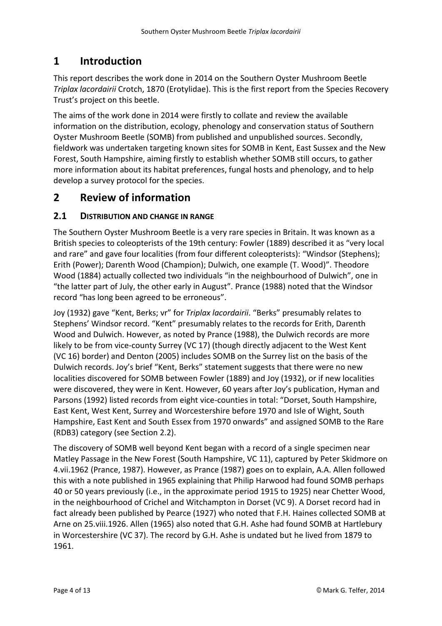# <span id="page-3-0"></span>**1 Introduction**

This report describes the work done in 2014 on the Southern Oyster Mushroom Beetle *Triplax lacordairii* Crotch, 1870 (Erotylidae). This is the first report from the Species Recovery Trust's project on this beetle.

The aims of the work done in 2014 were firstly to collate and review the available information on the distribution, ecology, phenology and conservation status of Southern Oyster Mushroom Beetle (SOMB) from published and unpublished sources. Secondly, fieldwork was undertaken targeting known sites for SOMB in Kent, East Sussex and the New Forest, South Hampshire, aiming firstly to establish whether SOMB still occurs, to gather more information about its habitat preferences, fungal hosts and phenology, and to help develop a survey protocol for the species.

# <span id="page-3-1"></span>**2 Review of information**

#### <span id="page-3-2"></span>**2.1 DISTRIBUTION AND CHANGE IN RANGE**

The Southern Oyster Mushroom Beetle is a very rare species in Britain. It was known as a British species to coleopterists of the 19th century: Fowler (1889) described it as "very local and rare" and gave four localities (from four different coleopterists): "Windsor (Stephens); Erith (Power); Darenth Wood (Champion); Dulwich, one example (T. Wood)". Theodore Wood (1884) actually collected two individuals "in the neighbourhood of Dulwich", one in "the latter part of July, the other early in August". Prance (1988) noted that the Windsor record "has long been agreed to be erroneous".

Joy (1932) gave "Kent, Berks; vr" for *Triplax lacordairii*. "Berks" presumably relates to Stephens' Windsor record. "Kent" presumably relates to the records for Erith, Darenth Wood and Dulwich. However, as noted by Prance (1988), the Dulwich records are more likely to be from vice-county Surrey (VC 17) (though directly adjacent to the West Kent (VC 16) border) and Denton (2005) includes SOMB on the Surrey list on the basis of the Dulwich records. Joy's brief "Kent, Berks" statement suggests that there were no new localities discovered for SOMB between Fowler (1889) and Joy (1932), or if new localities were discovered, they were in Kent. However, 60 years after Joy's publication, Hyman and Parsons (1992) listed records from eight vice-counties in total: "Dorset, South Hampshire, East Kent, West Kent, Surrey and Worcestershire before 1970 and Isle of Wight, South Hampshire, East Kent and South Essex from 1970 onwards" and assigned SOMB to the Rare (RDB3) category (see Section [2.2\)](#page-5-0).

The discovery of SOMB well beyond Kent began with a record of a single specimen near Matley Passage in the New Forest (South Hampshire, VC 11), captured by Peter Skidmore on 4.vii.1962 (Prance, 1987). However, as Prance (1987) goes on to explain, A.A. Allen followed this with a note published in 1965 explaining that Philip Harwood had found SOMB perhaps 40 or 50 years previously (i.e., in the approximate period 1915 to 1925) near Chetter Wood, in the neighbourhood of Crichel and Witchampton in Dorset (VC 9). A Dorset record had in fact already been published by Pearce (1927) who noted that F.H. Haines collected SOMB at Arne on 25.viii.1926. Allen (1965) also noted that G.H. Ashe had found SOMB at Hartlebury in Worcestershire (VC 37). The record by G.H. Ashe is undated but he lived from 1879 to 1961.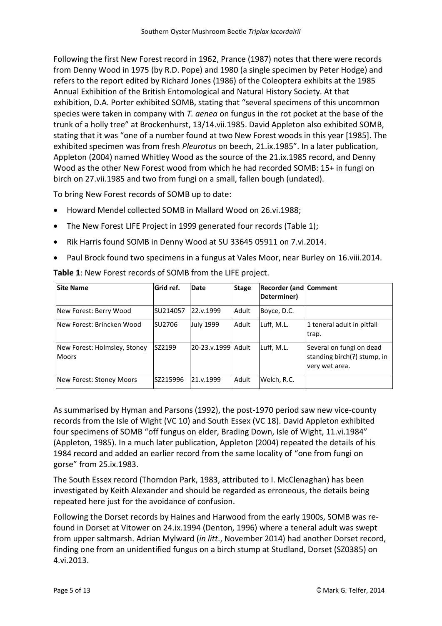Following the first New Forest record in 1962, Prance (1987) notes that there were records from Denny Wood in 1975 (by R.D. Pope) and 1980 (a single specimen by Peter Hodge) and refers to the report edited by Richard Jones (1986) of the Coleoptera exhibits at the 1985 Annual Exhibition of the British Entomological and Natural History Society. At that exhibition, D.A. Porter exhibited SOMB, stating that "several specimens of this uncommon species were taken in company with *T. aenea* on fungus in the rot pocket at the base of the trunk of a holly tree" at Brockenhurst, 13/14.vii.1985. David Appleton also exhibited SOMB, stating that it was "one of a number found at two New Forest woods in this year [1985]. The exhibited specimen was from fresh *Pleurotus* on beech, 21.ix.1985". In a later publication, Appleton (2004) named Whitley Wood as the source of the 21.ix.1985 record, and Denny Wood as the other New Forest wood from which he had recorded SOMB: 15+ in fungi on birch on 27.vii.1985 and two from fungi on a small, fallen bough (undated).

To bring New Forest records of SOMB up to date:

- Howard Mendel collected SOMB in Mallard Wood on 26.vi.1988;
- The New Forest LIFE Project in 1999 generated four records (Table 1);
- Rik Harris found SOMB in Denny Wood at SU 33645 05911 on 7.vi.2014.
- Paul Brock found two specimens in a fungus at Vales Moor, near Burley on 16.viii.2014.

| <b>Site Name</b>                             | <b>Grid</b> ref. | Date               | <b>Stage</b> | <b>Recorder (and Comment</b><br>Determiner) |                                                                           |
|----------------------------------------------|------------------|--------------------|--------------|---------------------------------------------|---------------------------------------------------------------------------|
| New Forest: Berry Wood                       | SU214057         | 22.v.1999          | Adult        | Boyce, D.C.                                 |                                                                           |
| New Forest: Brincken Wood                    | SU2706           | July 1999          | Adult        | Luff, M.L.                                  | 1 teneral adult in pitfall<br>trap.                                       |
| New Forest: Holmsley, Stoney<br><b>Moors</b> | SZ2199           | 20-23.v.1999 Adult |              | Luff, M.L.                                  | Several on fungi on dead<br>standing birch(?) stump, in<br>very wet area. |
| New Forest: Stoney Moors                     | SZ215996         | 21.v.1999          | Adult        | Welch, R.C.                                 |                                                                           |

**Table 1**: New Forest records of SOMB from the LIFE project.

As summarised by Hyman and Parsons (1992), the post-1970 period saw new vice-county records from the Isle of Wight (VC 10) and South Essex (VC 18). David Appleton exhibited four specimens of SOMB "off fungus on elder, Brading Down, Isle of Wight, 11.vi.1984" (Appleton, 1985). In a much later publication, Appleton (2004) repeated the details of his 1984 record and added an earlier record from the same locality of "one from fungi on gorse" from 25.ix.1983.

The South Essex record (Thorndon Park, 1983, attributed to I. McClenaghan) has been investigated by Keith Alexander and should be regarded as erroneous, the details being repeated here just for the avoidance of confusion.

Following the Dorset records by Haines and Harwood from the early 1900s, SOMB was refound in Dorset at Vitower on 24.ix.1994 (Denton, 1996) where a teneral adult was swept from upper saltmarsh. Adrian Mylward (*in litt*., November 2014) had another Dorset record, finding one from an unidentified fungus on a birch stump at Studland, Dorset (SZ0385) on 4.vi.2013.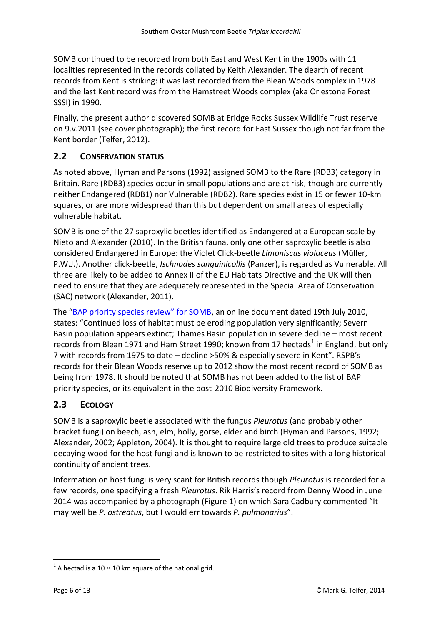SOMB continued to be recorded from both East and West Kent in the 1900s with 11 localities represented in the records collated by Keith Alexander. The dearth of recent records from Kent is striking: it was last recorded from the Blean Woods complex in 1978 and the last Kent record was from the Hamstreet Woods complex (aka Orlestone Forest SSSI) in 1990.

Finally, the present author discovered SOMB at Eridge Rocks Sussex Wildlife Trust reserve on 9.v.2011 (see cover photograph); the first record for East Sussex though not far from the Kent border (Telfer, 2012).

## <span id="page-5-0"></span>**2.2 CONSERVATION STATUS**

As noted above, Hyman and Parsons (1992) assigned SOMB to the Rare (RDB3) category in Britain. Rare (RDB3) species occur in small populations and are at risk, though are currently neither Endangered (RDB1) nor Vulnerable (RDB2). Rare species exist in 15 or fewer 10-km squares, or are more widespread than this but dependent on small areas of especially vulnerable habitat.

SOMB is one of the 27 saproxylic beetles identified as Endangered at a European scale by Nieto and Alexander (2010). In the British fauna, only one other saproxylic beetle is also considered Endangered in Europe: the Violet Click-beetle *Limoniscus violaceus* (Müller, P.W.J.). Another click-beetle, *Ischnodes sanguinicollis* (Panzer), is regarded as Vulnerable. All three are likely to be added to Annex II of the EU Habitats Directive and the UK will then need to ensure that they are adequately represented in the Special Area of Conservation (SAC) network (Alexander, 2011).

The ["BAP priority species review" for SOMB](http://www.google.co.uk/url?sa=t&rct=j&q=&esrc=s&source=web&cd=8&ved=0CEIQFjAH&url=http%3A%2F%2Fjncc.defra.gov.uk%2FDocs%2FUKBAP_BRIG-22-2010-July-TriplaxLacordairii.doc&ei=9FADU5_7N4vxhQfCjYCgDQ&usg=AFQjCNGLhRmXYra7M4WEVbvTPGmOL7P46A&bvm=bv.61535280,d.ZG4), an online document dated 19th July 2010, states: "Continued loss of habitat must be eroding population very significantly; Severn Basin population appears extinct; Thames Basin population in severe decline – most recent records from Blean 1971 and Ham Street 1990; known from 17 hectads<sup>1</sup> in England, but only 7 with records from 1975 to date – decline >50% & especially severe in Kent". RSPB's records for their Blean Woods reserve up to 2012 show the most recent record of SOMB as being from 1978. It should be noted that SOMB has not been added to the list of BAP priority species, or its equivalent in the post-2010 Biodiversity Framework.

## <span id="page-5-1"></span>**2.3 ECOLOGY**

SOMB is a saproxylic beetle associated with the fungus *Pleurotus* (and probably other bracket fungi) on beech, ash, elm, holly, gorse, elder and birch (Hyman and Parsons, 1992; Alexander, 2002; Appleton, 2004). It is thought to require large old trees to produce suitable decaying wood for the host fungi and is known to be restricted to sites with a long historical continuity of ancient trees.

Information on host fungi is very scant for British records though *Pleurotus* is recorded for a few records, one specifying a fresh *Pleurotus*. Rik Harris's record from Denny Wood in June 2014 was accompanied by a photograph [\(Figure 1\)](#page-6-1) on which Sara Cadbury commented "It may well be *P. ostreatus*, but I would err towards *P. pulmonarius*".

<sup>-</sup> $^{1}$  A hectad is a 10  $\times$  10 km square of the national grid.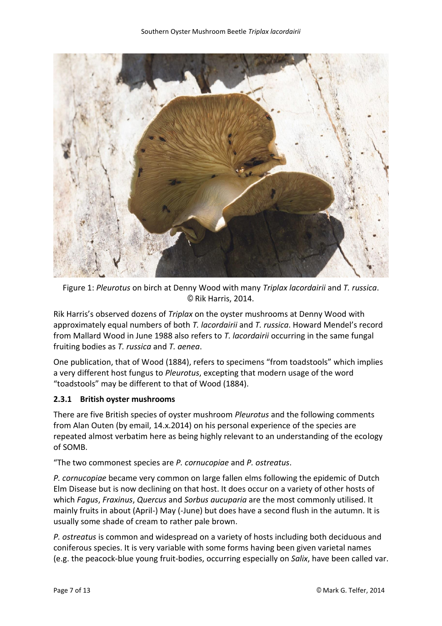

Figure 1: *Pleurotus* on birch at Denny Wood with many *Triplax lacordairii* and *T. russica*. © Rik Harris, 2014.

<span id="page-6-1"></span>Rik Harris's observed dozens of *Triplax* on the oyster mushrooms at Denny Wood with approximately equal numbers of both *T. lacordairii* and *T. russica*. Howard Mendel's record from Mallard Wood in June 1988 also refers to *T. lacordairii* occurring in the same fungal fruiting bodies as *T. russica* and *T. aenea*.

One publication, that of Wood (1884), refers to specimens "from toadstools" which implies a very different host fungus to *Pleurotus*, excepting that modern usage of the word "toadstools" may be different to that of Wood (1884).

#### <span id="page-6-0"></span>**2.3.1 British oyster mushrooms**

There are five British species of oyster mushroom *Pleurotus* and the following comments from Alan Outen (by email, 14.x.2014) on his personal experience of the species are repeated almost verbatim here as being highly relevant to an understanding of the ecology of SOMB.

"The two commonest species are *P. cornucopiae* and *P. ostreatus*.

*P. cornucopiae* became very common on large fallen elms following the epidemic of Dutch Elm Disease but is now declining on that host. It does occur on a variety of other hosts of which *Fagus*, *Fraxinus*, *Quercus* and *Sorbus aucuparia* are the most commonly utilised. It mainly fruits in about (April-) May (-June) but does have a second flush in the autumn. It is usually some shade of cream to rather pale brown.

*P. ostreatus* is common and widespread on a variety of hosts including both deciduous and coniferous species. It is very variable with some forms having been given varietal names (e.g. the peacock-blue young fruit-bodies, occurring especially on *Salix*, have been called var.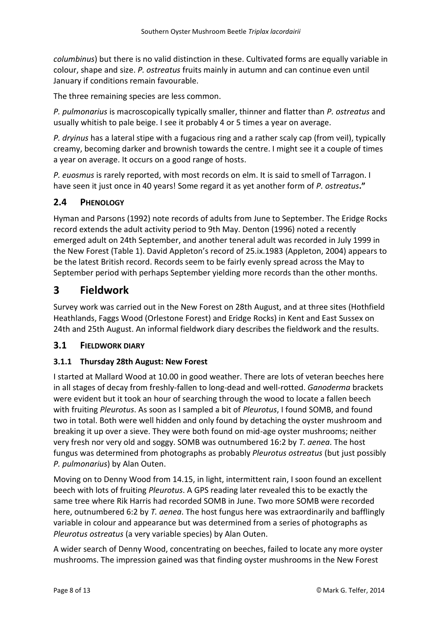*columbinus*) but there is no valid distinction in these. Cultivated forms are equally variable in colour, shape and size. *P. ostreatus* fruits mainly in autumn and can continue even until January if conditions remain favourable.

The three remaining species are less common.

*P. pulmonarius* is macroscopically typically smaller, thinner and flatter than *P. ostreatus* and usually whitish to pale beige. I see it probably 4 or 5 times a year on average.

*P. dryinus* has a lateral stipe with a fugacious ring and a rather scaly cap (from veil), typically creamy, becoming darker and brownish towards the centre. I might see it a couple of times a year on average. It occurs on a good range of hosts.

*P. euosmus* is rarely reported, with most records on elm. It is said to smell of Tarragon. I have seen it just once in 40 years! Some regard it as yet another form of *P. ostreatus***."**

## <span id="page-7-0"></span>**2.4 PHENOLOGY**

Hyman and Parsons (1992) note records of adults from June to September. The Eridge Rocks record extends the adult activity period to 9th May. Denton (1996) noted a recently emerged adult on 24th September, and another teneral adult was recorded in July 1999 in the New Forest (Table 1). David Appleton's record of 25.ix.1983 (Appleton, 2004) appears to be the latest British record. Records seem to be fairly evenly spread across the May to September period with perhaps September yielding more records than the other months.

## <span id="page-7-1"></span>**3 Fieldwork**

Survey work was carried out in the New Forest on 28th August, and at three sites (Hothfield Heathlands, Faggs Wood (Orlestone Forest) and Eridge Rocks) in Kent and East Sussex on 24th and 25th August. An informal fieldwork diary describes the fieldwork and the results.

#### <span id="page-7-2"></span>**3.1 FIELDWORK DIARY**

#### <span id="page-7-3"></span>**3.1.1 Thursday 28th August: New Forest**

I started at Mallard Wood at 10.00 in good weather. There are lots of veteran beeches here in all stages of decay from freshly-fallen to long-dead and well-rotted. *Ganoderma* brackets were evident but it took an hour of searching through the wood to locate a fallen beech with fruiting *Pleurotus*. As soon as I sampled a bit of *Pleurotus*, I found SOMB, and found two in total. Both were well hidden and only found by detaching the oyster mushroom and breaking it up over a sieve. They were both found on mid-age oyster mushrooms; neither very fresh nor very old and soggy. SOMB was outnumbered 16:2 by *T. aenea*. The host fungus was determined from photographs as probably *Pleurotus ostreatus* (but just possibly *P. pulmonarius*) by Alan Outen.

Moving on to Denny Wood from 14.15, in light, intermittent rain, I soon found an excellent beech with lots of fruiting *Pleurotus*. A GPS reading later revealed this to be exactly the same tree where Rik Harris had recorded SOMB in June. Two more SOMB were recorded here, outnumbered 6:2 by *T. aenea*. The host fungus here was extraordinarily and bafflingly variable in colour and appearance but was determined from a series of photographs as *Pleurotus ostreatus* (a very variable species) by Alan Outen.

A wider search of Denny Wood, concentrating on beeches, failed to locate any more oyster mushrooms. The impression gained was that finding oyster mushrooms in the New Forest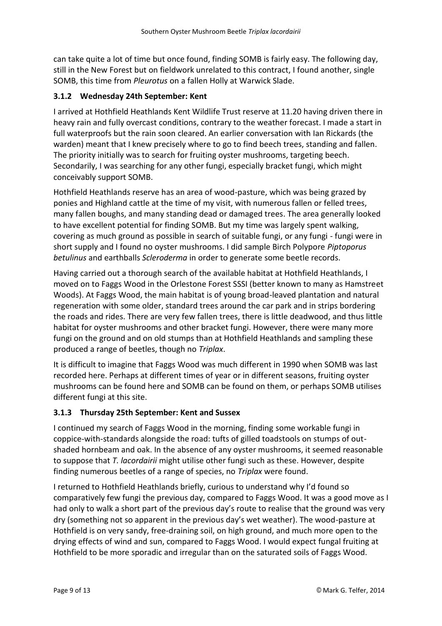can take quite a lot of time but once found, finding SOMB is fairly easy. The following day, still in the New Forest but on fieldwork unrelated to this contract, I found another, single SOMB, this time from *Pleurotus* on a fallen Holly at Warwick Slade.

#### <span id="page-8-0"></span>**3.1.2 Wednesday 24th September: Kent**

I arrived at Hothfield Heathlands Kent Wildlife Trust reserve at 11.20 having driven there in heavy rain and fully overcast conditions, contrary to the weather forecast. I made a start in full waterproofs but the rain soon cleared. An earlier conversation with Ian Rickards (the warden) meant that I knew precisely where to go to find beech trees, standing and fallen. The priority initially was to search for fruiting oyster mushrooms, targeting beech. Secondarily, I was searching for any other fungi, especially bracket fungi, which might conceivably support SOMB.

Hothfield Heathlands reserve has an area of wood-pasture, which was being grazed by ponies and Highland cattle at the time of my visit, with numerous fallen or felled trees, many fallen boughs, and many standing dead or damaged trees. The area generally looked to have excellent potential for finding SOMB. But my time was largely spent walking, covering as much ground as possible in search of suitable fungi, or any fungi - fungi were in short supply and I found no oyster mushrooms. I did sample Birch Polypore *Piptoporus betulinus* and earthballs *Scleroderma* in order to generate some beetle records.

Having carried out a thorough search of the available habitat at Hothfield Heathlands, I moved on to Faggs Wood in the Orlestone Forest SSSI (better known to many as Hamstreet Woods). At Faggs Wood, the main habitat is of young broad-leaved plantation and natural regeneration with some older, standard trees around the car park and in strips bordering the roads and rides. There are very few fallen trees, there is little deadwood, and thus little habitat for oyster mushrooms and other bracket fungi. However, there were many more fungi on the ground and on old stumps than at Hothfield Heathlands and sampling these produced a range of beetles, though no *Triplax*.

It is difficult to imagine that Faggs Wood was much different in 1990 when SOMB was last recorded here. Perhaps at different times of year or in different seasons, fruiting oyster mushrooms can be found here and SOMB can be found on them, or perhaps SOMB utilises different fungi at this site.

#### <span id="page-8-1"></span>**3.1.3 Thursday 25th September: Kent and Sussex**

I continued my search of Faggs Wood in the morning, finding some workable fungi in coppice-with-standards alongside the road: tufts of gilled toadstools on stumps of outshaded hornbeam and oak. In the absence of any oyster mushrooms, it seemed reasonable to suppose that *T. lacordairii* might utilise other fungi such as these. However, despite finding numerous beetles of a range of species, no *Triplax* were found.

I returned to Hothfield Heathlands briefly, curious to understand why I'd found so comparatively few fungi the previous day, compared to Faggs Wood. It was a good move as I had only to walk a short part of the previous day's route to realise that the ground was very dry (something not so apparent in the previous day's wet weather). The wood-pasture at Hothfield is on very sandy, free-draining soil, on high ground, and much more open to the drying effects of wind and sun, compared to Faggs Wood. I would expect fungal fruiting at Hothfield to be more sporadic and irregular than on the saturated soils of Faggs Wood.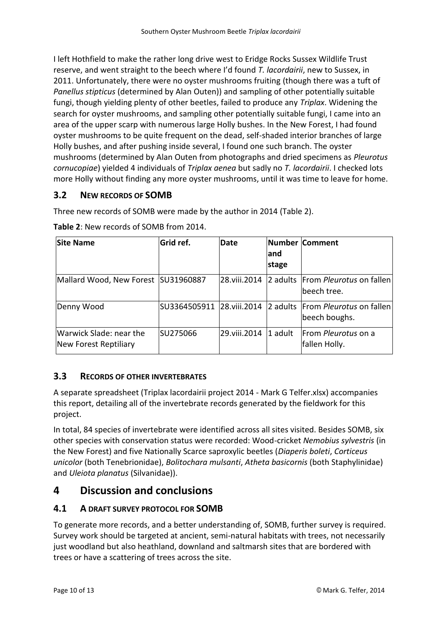I left Hothfield to make the rather long drive west to Eridge Rocks Sussex Wildlife Trust reserve, and went straight to the beech where I'd found *T. lacordairii*, new to Sussex, in 2011. Unfortunately, there were no oyster mushrooms fruiting (though there was a tuft of *Panellus stipticus* (determined by Alan Outen)) and sampling of other potentially suitable fungi, though yielding plenty of other beetles, failed to produce any *Triplax*. Widening the search for oyster mushrooms, and sampling other potentially suitable fungi, I came into an area of the upper scarp with numerous large Holly bushes. In the New Forest, I had found oyster mushrooms to be quite frequent on the dead, self-shaded interior branches of large Holly bushes, and after pushing inside several, I found one such branch. The oyster mushrooms (determined by Alan Outen from photographs and dried specimens as *Pleurotus cornucopiae*) yielded 4 individuals of *Triplax aenea* but sadly no *T. lacordairii*. I checked lots more Holly without finding any more oyster mushrooms, until it was time to leave for home.

## <span id="page-9-0"></span>**3.2 NEW RECORDS OF SOMB**

Three new records of SOMB were made by the author in 2014 (Table 2).

| <b>Site Name</b>                                 | Grid ref.                  | <b>Date</b>    | land<br>stage | Number Comment                                     |
|--------------------------------------------------|----------------------------|----------------|---------------|----------------------------------------------------|
| Mallard Wood, New Forest SU31960887              |                            | 28.viii.2014   |               | 2 adults From Pleurotus on fallen<br>lbeech tree.  |
| Denny Wood                                       | SU3364505911  28.viii.2014 |                |               | 2 adults From Pleurotus on fallen<br>beech boughs. |
| Warwick Slade: near the<br>New Forest Reptiliary | SU275066                   | 29. viii. 2014 | 1 adult       | From Pleurotus on a<br>fallen Holly.               |

**Table 2**: New records of SOMB from 2014.

## <span id="page-9-1"></span>**3.3 RECORDS OF OTHER INVERTEBRATES**

A separate spreadsheet (Triplax lacordairii project 2014 - Mark G Telfer.xlsx) accompanies this report, detailing all of the invertebrate records generated by the fieldwork for this project.

In total, 84 species of invertebrate were identified across all sites visited. Besides SOMB, six other species with conservation status were recorded: Wood-cricket *Nemobius sylvestris* (in the New Forest) and five Nationally Scarce saproxylic beetles (*Diaperis boleti*, *Corticeus unicolor* (both Tenebrionidae), *Bolitochara mulsanti*, *Atheta basicornis* (both Staphylinidae) and *Uleiota planatus* (Silvanidae)).

# <span id="page-9-2"></span>**4 Discussion and conclusions**

## <span id="page-9-3"></span>**4.1 A DRAFT SURVEY PROTOCOL FOR SOMB**

To generate more records, and a better understanding of, SOMB, further survey is required. Survey work should be targeted at ancient, semi-natural habitats with trees, not necessarily just woodland but also heathland, downland and saltmarsh sites that are bordered with trees or have a scattering of trees across the site.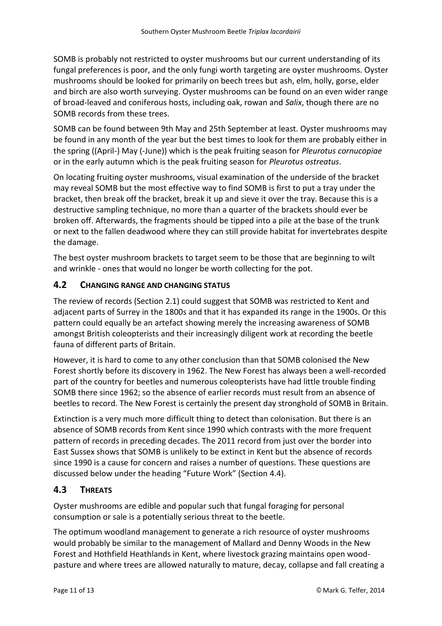SOMB is probably not restricted to oyster mushrooms but our current understanding of its fungal preferences is poor, and the only fungi worth targeting are oyster mushrooms. Oyster mushrooms should be looked for primarily on beech trees but ash, elm, holly, gorse, elder and birch are also worth surveying. Oyster mushrooms can be found on an even wider range of broad-leaved and coniferous hosts, including oak, rowan and *Salix*, though there are no SOMB records from these trees.

SOMB can be found between 9th May and 25th September at least. Oyster mushrooms may be found in any month of the year but the best times to look for them are probably either in the spring ((April-) May (-June)) which is the peak fruiting season for *Pleurotus cornucopiae* or in the early autumn which is the peak fruiting season for *Pleurotus ostreatus*.

On locating fruiting oyster mushrooms, visual examination of the underside of the bracket may reveal SOMB but the most effective way to find SOMB is first to put a tray under the bracket, then break off the bracket, break it up and sieve it over the tray. Because this is a destructive sampling technique, no more than a quarter of the brackets should ever be broken off. Afterwards, the fragments should be tipped into a pile at the base of the trunk or next to the fallen deadwood where they can still provide habitat for invertebrates despite the damage.

The best oyster mushroom brackets to target seem to be those that are beginning to wilt and wrinkle - ones that would no longer be worth collecting for the pot.

#### <span id="page-10-0"></span>**4.2 CHANGING RANGE AND CHANGING STATUS**

The review of records (Section [2.1\)](#page-3-2) could suggest that SOMB was restricted to Kent and adjacent parts of Surrey in the 1800s and that it has expanded its range in the 1900s. Or this pattern could equally be an artefact showing merely the increasing awareness of SOMB amongst British coleopterists and their increasingly diligent work at recording the beetle fauna of different parts of Britain.

However, it is hard to come to any other conclusion than that SOMB colonised the New Forest shortly before its discovery in 1962. The New Forest has always been a well-recorded part of the country for beetles and numerous coleopterists have had little trouble finding SOMB there since 1962; so the absence of earlier records must result from an absence of beetles to record. The New Forest is certainly the present day stronghold of SOMB in Britain.

Extinction is a very much more difficult thing to detect than colonisation. But there is an absence of SOMB records from Kent since 1990 which contrasts with the more frequent pattern of records in preceding decades. The 2011 record from just over the border into East Sussex shows that SOMB is unlikely to be extinct in Kent but the absence of records since 1990 is a cause for concern and raises a number of questions. These questions are discussed below under the heading "Future Work" (Section [4.4\)](#page-11-0).

#### <span id="page-10-1"></span>**4.3 THREATS**

Oyster mushrooms are edible and popular such that fungal foraging for personal consumption or sale is a potentially serious threat to the beetle.

The optimum woodland management to generate a rich resource of oyster mushrooms would probably be similar to the management of Mallard and Denny Woods in the New Forest and Hothfield Heathlands in Kent, where livestock grazing maintains open woodpasture and where trees are allowed naturally to mature, decay, collapse and fall creating a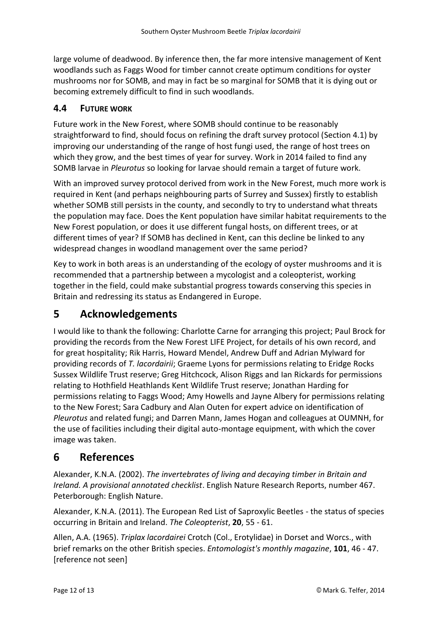large volume of deadwood. By inference then, the far more intensive management of Kent woodlands such as Faggs Wood for timber cannot create optimum conditions for oyster mushrooms nor for SOMB, and may in fact be so marginal for SOMB that it is dying out or becoming extremely difficult to find in such woodlands.

#### <span id="page-11-0"></span>**4.4 FUTURE WORK**

Future work in the New Forest, where SOMB should continue to be reasonably straightforward to find, should focus on refining the draft survey protocol (Section [4.1\)](#page-9-3) by improving our understanding of the range of host fungi used, the range of host trees on which they grow, and the best times of year for survey. Work in 2014 failed to find any SOMB larvae in *Pleurotus* so looking for larvae should remain a target of future work.

With an improved survey protocol derived from work in the New Forest, much more work is required in Kent (and perhaps neighbouring parts of Surrey and Sussex) firstly to establish whether SOMB still persists in the county, and secondly to try to understand what threats the population may face. Does the Kent population have similar habitat requirements to the New Forest population, or does it use different fungal hosts, on different trees, or at different times of year? If SOMB has declined in Kent, can this decline be linked to any widespread changes in woodland management over the same period?

Key to work in both areas is an understanding of the ecology of oyster mushrooms and it is recommended that a partnership between a mycologist and a coleopterist, working together in the field, could make substantial progress towards conserving this species in Britain and redressing its status as Endangered in Europe.

# <span id="page-11-1"></span>**5 Acknowledgements**

I would like to thank the following: Charlotte Carne for arranging this project; Paul Brock for providing the records from the New Forest LIFE Project, for details of his own record, and for great hospitality; Rik Harris, Howard Mendel, Andrew Duff and Adrian Mylward for providing records of *T. lacordairii*; Graeme Lyons for permissions relating to Eridge Rocks Sussex Wildlife Trust reserve; Greg Hitchcock, Alison Riggs and Ian Rickards for permissions relating to Hothfield Heathlands Kent Wildlife Trust reserve; Jonathan Harding for permissions relating to Faggs Wood; Amy Howells and Jayne Albery for permissions relating to the New Forest; Sara Cadbury and Alan Outen for expert advice on identification of *Pleurotus* and related fungi; and Darren Mann, James Hogan and colleagues at OUMNH, for the use of facilities including their digital auto-montage equipment, with which the cover image was taken.

# <span id="page-11-2"></span>**6 References**

Alexander, K.N.A. (2002). *The invertebrates of living and decaying timber in Britain and Ireland. A provisional annotated checklist*. English Nature Research Reports, number 467. Peterborough: English Nature.

Alexander, K.N.A. (2011). The European Red List of Saproxylic Beetles - the status of species occurring in Britain and Ireland. *The Coleopterist*, **20**, 55 - 61.

Allen, A.A. (1965). *Triplax lacordairei* Crotch (Col., Erotylidae) in Dorset and Worcs., with brief remarks on the other British species. *Entomologist's monthly magazine*, **101**, 46 - 47. [reference not seen]